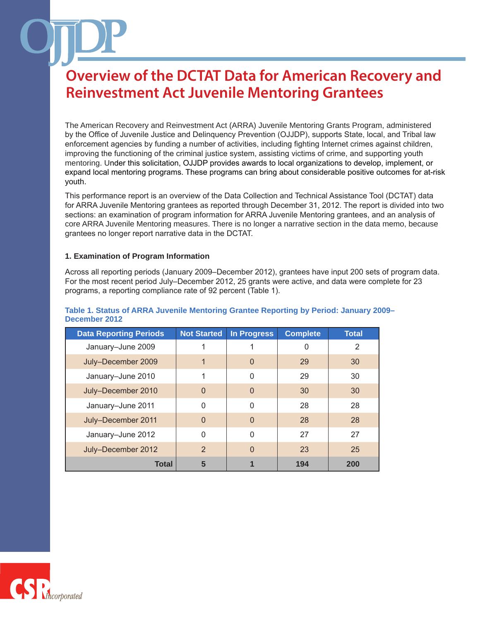The American Recovery and Reinvestment Act (ARRA) Juvenile Mentoring Grants Program, administered by the Office of Juvenile Justice and Delinquency Prevention (OJJDP), supports State, local, and Tribal law enforcement agencies by funding a number of activities, including fighting Internet crimes against children, improving the functioning of the criminal justice system, assisting victims of crime, and supporting youth mentoring. Under this solicitation, OJJDP provides awards to local organizations to develop, implement, or expand local mentoring programs. These programs can bring about considerable positive outcomes for at-risk youth.

This performance report is an overview of the Data Collection and Technical Assistance Tool (DCTAT) data for ARRA Juvenile Mentoring grantees as reported through December 31, 2012. The report is divided into two sections: an examination of program information for ARRA Juvenile Mentoring grantees, and an analysis of core ARRA Juvenile Mentoring measures. There is no longer a narrative section in the data memo, because grantees no longer report narrative data in the DCTAT.

#### **1. Examination of Program Information**

Across all reporting periods (January 2009–December 2012), grantees have input 200 sets of program data. For the most recent period July–December 2012, 25 grants were active, and data were complete for 23 programs, a reporting compliance rate of 92 percent (Table 1).

| <b>Data Reporting Periods</b> | <b>Not Started</b> | <b>In Progress</b> | <b>Complete</b> | <b>Total</b> |
|-------------------------------|--------------------|--------------------|-----------------|--------------|
| January-June 2009             |                    |                    | 0               | 2            |
| July-December 2009            |                    | $\Omega$           | 29              | 30           |
| January-June 2010             |                    | 0                  | 29              | 30           |
| July-December 2010            | $\Omega$           | $\Omega$           | 30              | 30           |
| January-June 2011             | $\Omega$           | $\Omega$           | 28              | 28           |
| July-December 2011            | $\Omega$           | $\Omega$           | 28              | 28           |
| January-June 2012             | 0                  | $\Omega$           | 27              | 27           |
| July-December 2012            | $\mathcal{P}$      | $\Omega$           | 23              | 25           |
| <b>Total</b>                  | 5                  |                    | 194             | 200          |

#### **Table 1. Status of ARRA Juvenile Mentoring Grantee Reporting by Period: January 2009– December 2012**

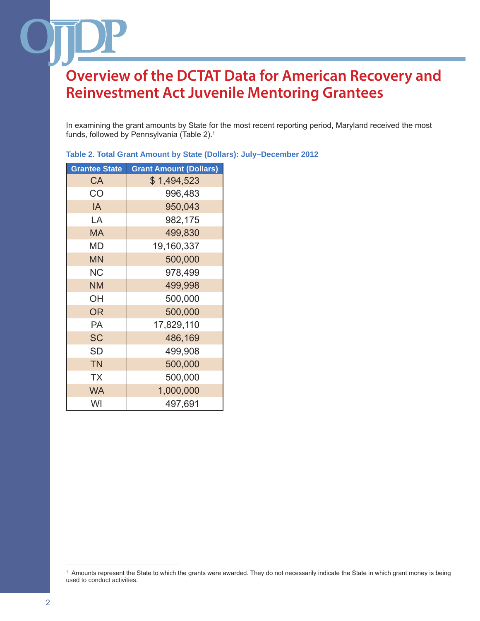In examining the grant amounts by State for the most recent reporting period, Maryland received the most funds, followed by Pennsylvania (Table 2).1

| <b>Grantee State</b> | <b>Grant Amount (Dollars)</b> |
|----------------------|-------------------------------|
| CA                   | \$1,494,523                   |
| CO                   | 996,483                       |
| IA                   | 950,043                       |
| LA                   | 982,175                       |
| MA                   | 499,830                       |
| MD                   | 19,160,337                    |
| <b>MN</b>            | 500,000                       |
| NС                   | 978,499                       |
| <b>NM</b>            | 499,998                       |
| OН                   | 500,000                       |
| <b>OR</b>            | 500,000                       |
| PA                   | 17,829,110                    |
| <b>SC</b>            | 486,169                       |
| SD                   | 499,908                       |
| <b>TN</b>            | 500,000                       |
| <b>TX</b>            | 500,000                       |
| <b>WA</b>            | 1,000,000                     |
| WI                   | 497,691                       |

| Table 2. Total Grant Amount by State (Dollars): July-December 2012 |  |  |
|--------------------------------------------------------------------|--|--|
|--------------------------------------------------------------------|--|--|

<sup>1</sup> Amounts represent the State to which the grants were awarded. They do not necessarily indicate the State in which grant money is being used to conduct activities.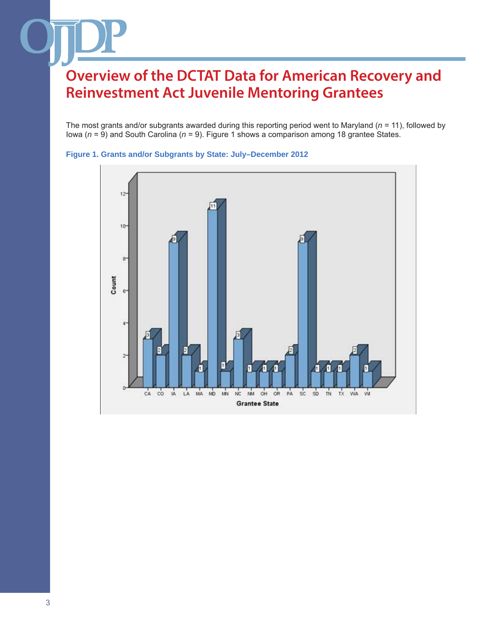The most grants and/or subgrants awarded during this reporting period went to Maryland (*n* = 11), followed by Iowa (*n* = 9) and South Carolina (*n* = 9). Figure 1 shows a comparison among 18 grantee States.



**Figure 1. Grants and/or Subgrants by State: July–December 2012**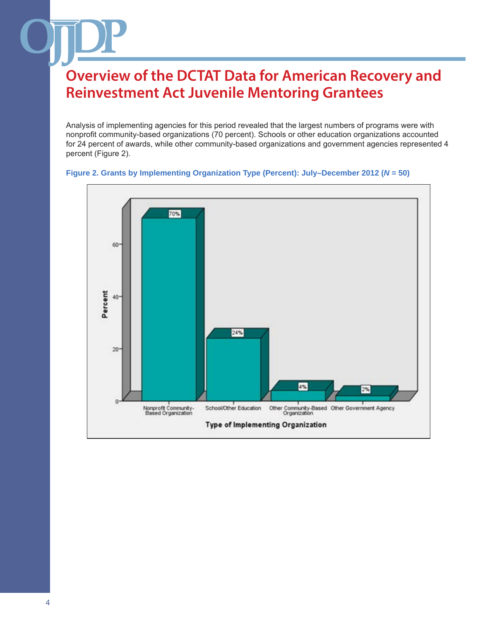Analysis of implementing agencies for this period revealed that the largest numbers of programs were with nonprofit community-based organizations (70 percent). Schools or other education organizations accounted for 24 percent of awards, while other community-based organizations and government agencies represented 4 percent (Figure 2).



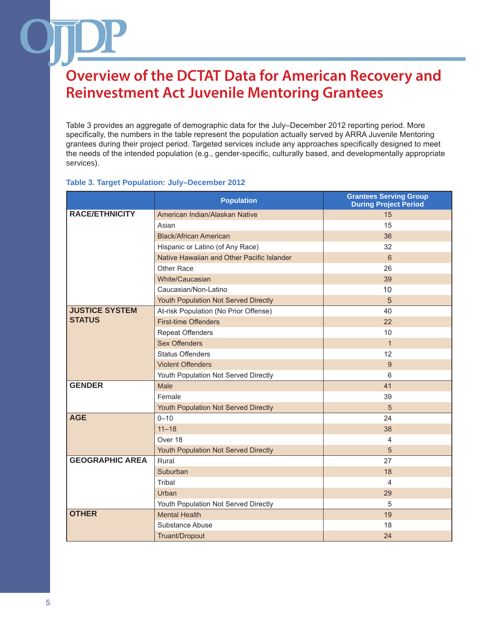Table 3 provides an aggregate of demographic data for the July–December 2012 reporting period. More specifically, the numbers in the table represent the population actually served by ARRA Juvenile Mentoring grantees during their project period. Targeted services include any approaches specifically designed to meet the needs of the intended population (e.g., gender-specific, culturally based, and developmentally appropriate services).

#### **Table 3. Target Population: July–December 2012**

|                        | <b>Population</b>                          | <b>Grantees Serving Group</b><br><b>During Project Period</b> |
|------------------------|--------------------------------------------|---------------------------------------------------------------|
| <b>RACE/ETHNICITY</b>  | American Indian/Alaskan Native             | 15                                                            |
|                        | Asian                                      | 15                                                            |
|                        | <b>Black/African American</b>              | 36                                                            |
|                        | Hispanic or Latino (of Any Race)           | 32                                                            |
|                        | Native Hawaiian and Other Pacific Islander | 6                                                             |
|                        | Other Race                                 | 26                                                            |
|                        | White/Caucasian                            | 39                                                            |
|                        | Caucasian/Non-Latino                       | 10                                                            |
|                        | Youth Population Not Served Directly       | 5                                                             |
| <b>JUSTICE SYSTEM</b>  | At-risk Population (No Prior Offense)      | 40                                                            |
| <b>STATUS</b>          | <b>First-time Offenders</b>                | 22                                                            |
|                        | <b>Repeat Offenders</b>                    | 10                                                            |
|                        | <b>Sex Offenders</b>                       | $\mathbf{1}$                                                  |
|                        | <b>Status Offenders</b>                    | 12                                                            |
|                        | <b>Violent Offenders</b>                   | 9                                                             |
|                        | Youth Population Not Served Directly       | 6                                                             |
| <b>GENDER</b>          | Male                                       | 41                                                            |
|                        | Female                                     | 39                                                            |
|                        | Youth Population Not Served Directly       | $\sqrt{5}$                                                    |
| <b>AGE</b>             | $0 - 10$                                   | 24                                                            |
|                        | $11 - 18$                                  | 38                                                            |
|                        | Over 18                                    | $\overline{4}$                                                |
|                        | Youth Population Not Served Directly       | $\sqrt{5}$                                                    |
| <b>GEOGRAPHIC AREA</b> | Rural                                      | 27                                                            |
|                        | Suburban                                   | 18                                                            |
|                        | Tribal                                     | $\overline{4}$                                                |
|                        | Urban                                      | 29                                                            |
|                        | Youth Population Not Served Directly       | 5                                                             |
| <b>OTHER</b>           | <b>Mental Health</b>                       | 19                                                            |
|                        | Substance Abuse                            | 18                                                            |
|                        | Truant/Dropout                             | 24                                                            |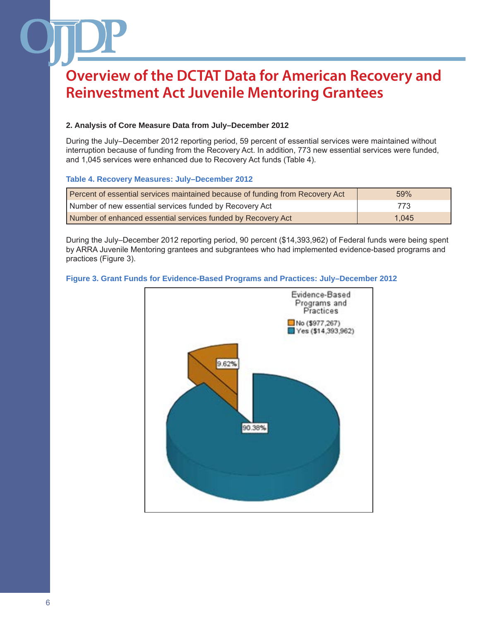### **2. Analysis of Core Measure Data from July–December 2012**

During the July–December 2012 reporting period, 59 percent of essential services were maintained without interruption because of funding from the Recovery Act. In addition, 773 new essential services were funded, and 1,045 services were enhanced due to Recovery Act funds (Table 4).

#### **Table 4. Recovery Measures: July–December 2012**

| Percent of essential services maintained because of funding from Recovery Act | 59%   |
|-------------------------------------------------------------------------------|-------|
| Number of new essential services funded by Recovery Act                       | 773   |
| Number of enhanced essential services funded by Recovery Act                  | 1.045 |

During the July–December 2012 reporting period, 90 percent (\$14,393,962) of Federal funds were being spent by ARRA Juvenile Mentoring grantees and subgrantees who had implemented evidence-based programs and practices (Figure 3).

#### **Figure 3. Grant Funds for Evidence-Based Programs and Practices: July–December 2012**

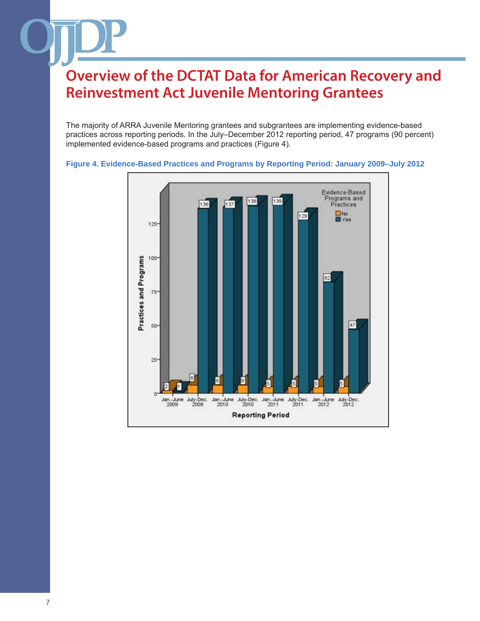The majority of ARRA Juvenile Mentoring grantees and subgrantees are implementing evidence-based practices across reporting periods. In the July–December 2012 reporting period, 47 programs (90 percent) implemented evidence-based programs and practices (Figure 4).



#### **Figure 4. Evidence-Based Practices and Programs by Reporting Period: January 2009–July 2012**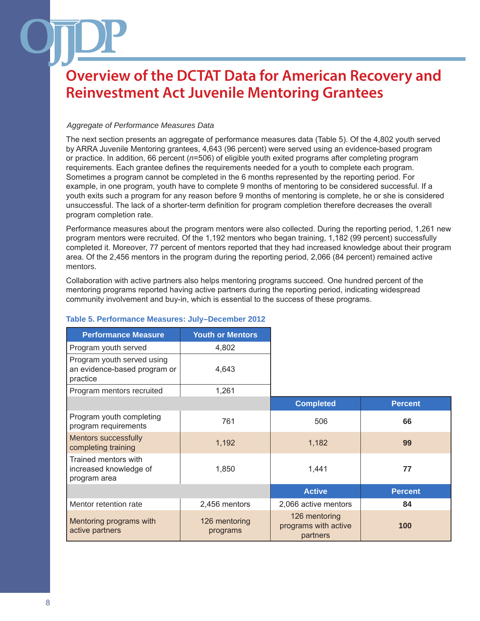#### *Aggregate of Performance Measures Data*

The next section presents an aggregate of performance measures data (Table 5). Of the 4,802 youth served by ARRA Juvenile Mentoring grantees, 4,643 (96 percent) were served using an evidence-based program or practice. In addition, 66 percent (*n*=506) of eligible youth exited programs after completing program requirements. Each grantee defines the requirements needed for a youth to complete each program. Sometimes a program cannot be completed in the 6 months represented by the reporting period. For example, in one program, youth have to complete 9 months of mentoring to be considered successful. If a youth exits such a program for any reason before 9 months of mentoring is complete, he or she is considered unsuccessful. The lack of a shorter-term definition for program completion therefore decreases the overall program completion rate.

Performance measures about the program mentors were also collected. During the reporting period, 1,261 new program mentors were recruited. Of the 1,192 mentors who began training, 1,182 (99 percent) successfully completed it. Moreover, 77 percent of mentors reported that they had increased knowledge about their program area. Of the 2,456 mentors in the program during the reporting period, 2,066 (84 percent) remained active mentors.

Collaboration with active partners also helps mentoring programs succeed. One hundred percent of the mentoring programs reported having active partners during the reporting period, indicating widespread community involvement and buy-in, which is essential to the success of these programs.

| <b>Performance Measure</b>                                             | <b>Youth or Mentors</b>   |                                                   |                |
|------------------------------------------------------------------------|---------------------------|---------------------------------------------------|----------------|
| Program youth served                                                   | 4,802                     |                                                   |                |
| Program youth served using<br>an evidence-based program or<br>practice | 4,643                     |                                                   |                |
| Program mentors recruited                                              | 1,261                     |                                                   |                |
|                                                                        |                           | <b>Completed</b>                                  | <b>Percent</b> |
| Program youth completing<br>program requirements                       | 761                       | 506                                               | 66             |
| <b>Mentors successfully</b><br>completing training                     | 1,192                     | 1,182                                             | 99             |
| Trained mentors with<br>increased knowledge of<br>program area         | 1,850                     | 1,441                                             | 77             |
|                                                                        |                           | <b>Active</b>                                     | <b>Percent</b> |
| Mentor retention rate                                                  | 2,456 mentors             | 2,066 active mentors                              | 84             |
| Mentoring programs with<br>active partners                             | 126 mentoring<br>programs | 126 mentoring<br>programs with active<br>partners | 100            |

### **Table 5. Performance Measures: July–December 2012**